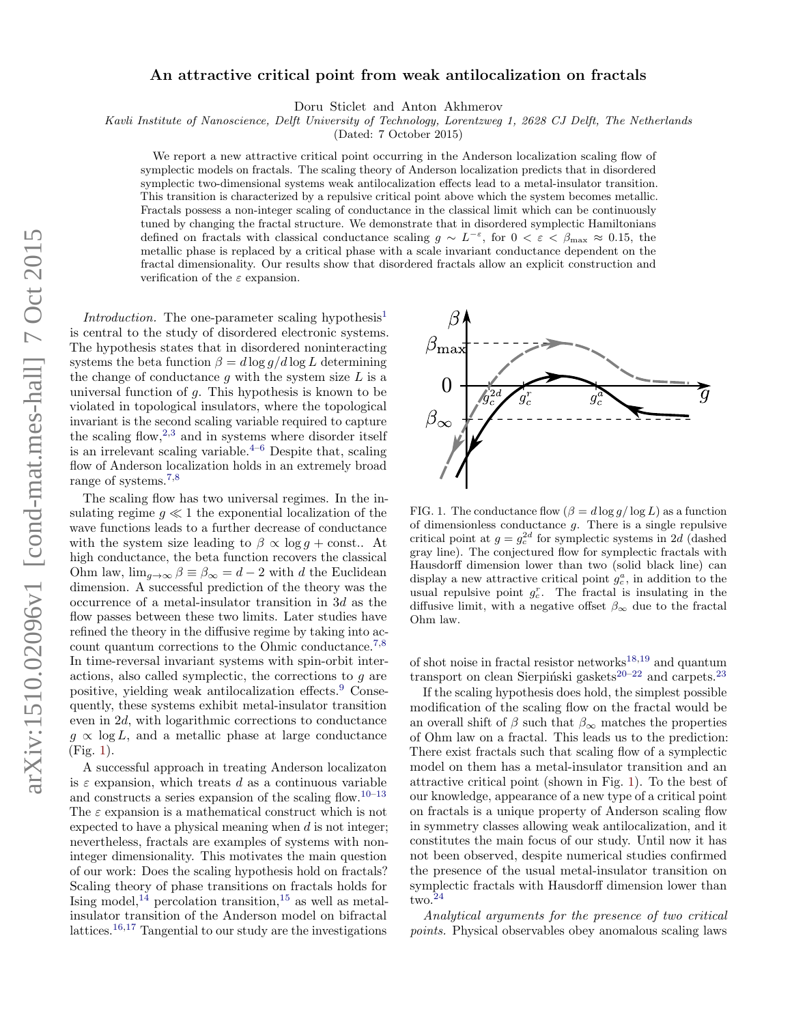## An attractive critical point from weak antilocalization on fractals

Doru Sticlet and Anton Akhmerov

Kavli Institute of Nanoscience, Delft University of Technology, Lorentzweg 1, 2628 CJ Delft, The Netherlands

(Dated: 7 October 2015)

We report a new attractive critical point occurring in the Anderson localization scaling flow of symplectic models on fractals. The scaling theory of Anderson localization predicts that in disordered symplectic two-dimensional systems weak antilocalization effects lead to a metal-insulator transition. This transition is characterized by a repulsive critical point above which the system becomes metallic. Fractals possess a non-integer scaling of conductance in the classical limit which can be continuously tuned by changing the fractal structure. We demonstrate that in disordered symplectic Hamiltonians defined on fractals with classical conductance scaling  $g \sim L^{-\varepsilon}$ , for  $0 < \varepsilon < \beta_{\text{max}} \approx 0.15$ , the metallic phase is replaced by a critical phase with a scale invariant conductance dependent on the fractal dimensionality. Our results show that disordered fractals allow an explicit construction and verification of the  $\varepsilon$  expansion.

Introduction. The one-parameter scaling hypothesis<sup>[1](#page-5-0)</sup> is central to the study of disordered electronic systems. The hypothesis states that in disordered noninteracting systems the beta function  $\beta = d \log q / d \log L$  determining the change of conductance  $g$  with the system size  $L$  is a universal function of  $q$ . This hypothesis is known to be violated in topological insulators, where the topological invariant is the second scaling variable required to capture the scaling flow,  $2,3$  $2,3$  and in systems where disorder itself is an irrelevant scaling variable. $4-6$  $4-6$  Despite that, scaling flow of Anderson localization holds in an extremely broad range of systems.[7](#page-5-5)[,8](#page-5-6)

The scaling flow has two universal regimes. In the insulating regime  $q \ll 1$  the exponential localization of the wave functions leads to a further decrease of conductance with the system size leading to  $\beta \propto \log q + \text{const.}$  At high conductance, the beta function recovers the classical Ohm law,  $\lim_{g\to\infty} \beta \equiv \beta_{\infty} = d - 2$  with d the Euclidean dimension. A successful prediction of the theory was the occurrence of a metal-insulator transition in 3d as the flow passes between these two limits. Later studies have refined the theory in the diffusive regime by taking into ac-count quantum corrections to the Ohmic conductance.<sup>[7,](#page-5-5)[8](#page-5-6)</sup> In time-reversal invariant systems with spin-orbit interactions, also called symplectic, the corrections to g are positive, yielding weak antilocalization effects.[9](#page-5-7) Consequently, these systems exhibit metal-insulator transition even in 2d, with logarithmic corrections to conductance  $g \propto \log L$ , and a metallic phase at large conductance (Fig. [1\)](#page-0-0).

A successful approach in treating Anderson localizaton is  $\varepsilon$  expansion, which treats d as a continuous variable and constructs a series expansion of the scaling flow.<sup>[10–](#page-5-8)[13](#page-5-9)</sup> The  $\varepsilon$  expansion is a mathematical construct which is not expected to have a physical meaning when  $d$  is not integer; nevertheless, fractals are examples of systems with noninteger dimensionality. This motivates the main question of our work: Does the scaling hypothesis hold on fractals? Scaling theory of phase transitions on fractals holds for Ising model,<sup>[14](#page-5-10)</sup> percolation transition,<sup>[15](#page-5-11)</sup> as well as metalinsulator transition of the Anderson model on bifractal lattices.[16](#page-6-0)[,17](#page-6-1) Tangential to our study are the investigations



<span id="page-0-0"></span>FIG. 1. The conductance flow  $(\beta = d \log q / \log L)$  as a function of dimensionless conductance  $g$ . There is a single repulsive critical point at  $g = g_c^{2d}$  for symplectic systems in 2d (dashed gray line). The conjectured flow for symplectic fractals with Hausdorff dimension lower than two (solid black line) can display a new attractive critical point  $g_c^a$ , in addition to the usual repulsive point  $g_c^r$ . The fractal is insulating in the diffusive limit, with a negative offset  $\beta_{\infty}$  due to the fractal Ohm law.

of shot noise in fractal resistor networks $18,19$  $18,19$  and quantum transport on clean Sierpiński gaskets<sup>[20–](#page-6-4)[22](#page-6-5)</sup> and carpets.<sup>[23](#page-6-6)</sup>

If the scaling hypothesis does hold, the simplest possible modification of the scaling flow on the fractal would be an overall shift of  $\beta$  such that  $\beta_{\infty}$  matches the properties of Ohm law on a fractal. This leads us to the prediction: There exist fractals such that scaling flow of a symplectic model on them has a metal-insulator transition and an attractive critical point (shown in Fig. [1\)](#page-0-0). To the best of our knowledge, appearance of a new type of a critical point on fractals is a unique property of Anderson scaling flow in symmetry classes allowing weak antilocalization, and it constitutes the main focus of our study. Until now it has not been observed, despite numerical studies confirmed the presence of the usual metal-insulator transition on symplectic fractals with Hausdorff dimension lower than two.[24](#page-6-7)

Analytical arguments for the presence of two critical points. Physical observables obey anomalous scaling laws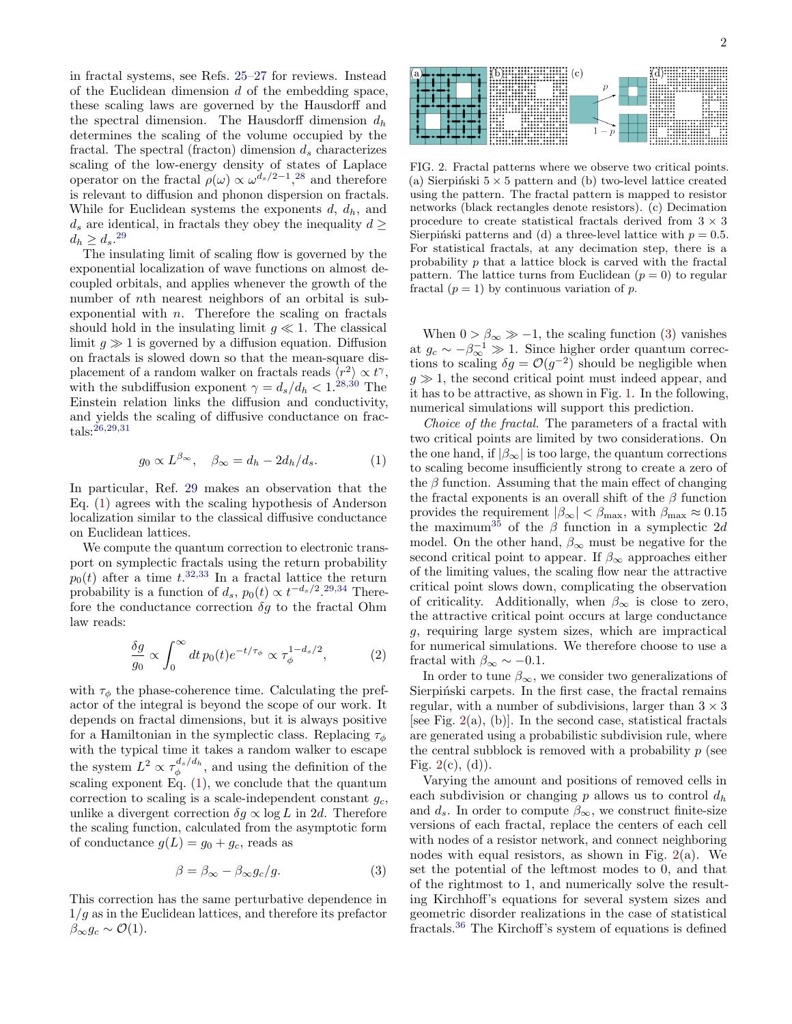in fractal systems, see Refs. [25](#page-6-8)[–27](#page-6-9) for reviews. Instead of the Euclidean dimension  $d$  of the embedding space, these scaling laws are governed by the Hausdorff and the spectral dimension. The Hausdorff dimension  $d_h$ determines the scaling of the volume occupied by the fractal. The spectral (fracton) dimension  $d_s$  characterizes scaling of the low-energy density of states of Laplace operator on the fractal  $\rho(\omega) \propto \omega^{d_s/2 - 1}$ ,<sup>[28](#page-6-10)</sup> and therefore is relevant to diffusion and phonon dispersion on fractals. While for Euclidean systems the exponents  $d, d_h$ , and  $d_s$  are identical, in fractals they obey the inequality  $d \geq$  $d_h \geq d_s^{29}$  $d_h \geq d_s^{29}$  $d_h \geq d_s^{29}$ 

The insulating limit of scaling flow is governed by the exponential localization of wave functions on almost decoupled orbitals, and applies whenever the growth of the number of nth nearest neighbors of an orbital is subexponential with  $n$ . Therefore the scaling on fractals should hold in the insulating limit  $g \ll 1$ . The classical limit  $q \gg 1$  is governed by a diffusion equation. Diffusion on fractals is slowed down so that the mean-square displacement of a random walker on fractals reads  $\langle r^2 \rangle \propto t^{\gamma}$ , with the subdiffusion exponent  $\gamma = d_s/d_h < 1.^{28,30}$  $\gamma = d_s/d_h < 1.^{28,30}$  $\gamma = d_s/d_h < 1.^{28,30}$  $\gamma = d_s/d_h < 1.^{28,30}$  The Einstein relation links the diffusion and conductivity, and yields the scaling of diffusive conductance on frac- ${\rm tals:}^{\tilde{2}6,29,31}$  ${\rm tals:}^{\tilde{2}6,29,31}$  ${\rm tals:}^{\tilde{2}6,29,31}$  ${\rm tals:}^{\tilde{2}6,29,31}$ 

<span id="page-1-0"></span>
$$
g_0 \propto L^{\beta_{\infty}}, \quad \beta_{\infty} = d_h - 2d_h/d_s. \tag{1}
$$

In particular, Ref. [29](#page-6-11) makes an observation that the Eq. [\(1\)](#page-1-0) agrees with the scaling hypothesis of Anderson localization similar to the classical diffusive conductance on Euclidean lattices.

We compute the quantum correction to electronic transport on symplectic fractals using the return probability  $p_0(t)$  after a time  $t^{32,33}$  $t^{32,33}$  $t^{32,33}$  $t^{32,33}$  In a fractal lattice the return probability is a function of  $d_s$ ,  $p_0(t) \propto t^{-d_s/2}$ . [29](#page-6-11)[,34](#page-6-17) Therefore the conductance correction  $\delta q$  to the fractal Ohm law reads:

$$
\frac{\delta g}{g_0} \propto \int_0^\infty dt \, p_0(t) e^{-t/\tau_\phi} \propto \tau_\phi^{1 - d_s/2},\tag{2}
$$

with  $\tau_{\phi}$  the phase-coherence time. Calculating the prefactor of the integral is beyond the scope of our work. It depends on fractal dimensions, but it is always positive for a Hamiltonian in the symplectic class. Replacing  $\tau_{\phi}$ with the typical time it takes a random walker to escape the system  $L^2 \propto \tau_{\phi}^{d_s/d_h}$ , and using the definition of the scaling exponent Eq.  $(1)$ , we conclude that the quantum correction to scaling is a scale-independent constant  $q_c$ , unlike a divergent correction  $\delta g \propto \log L$  in 2d. Therefore the scaling function, calculated from the asymptotic form of conductance  $g(L) = g_0 + g_c$ , reads as

<span id="page-1-1"></span>
$$
\beta = \beta_{\infty} - \beta_{\infty} g_c / g. \tag{3}
$$

This correction has the same perturbative dependence in  $1/q$  as in the Euclidean lattices, and therefore its prefactor  $\beta_{\infty}g_c \sim \mathcal{O}(1).$ 



<span id="page-1-2"></span>FIG. 2. Fractal patterns where we observe two critical points. (a) Sierpinski  $5 \times 5$  pattern and (b) two-level lattice created using the pattern. The fractal pattern is mapped to resistor networks (black rectangles denote resistors). (c) Decimation procedure to create statistical fractals derived from  $3 \times 3$ Sierpiński patterns and (d) a three-level lattice with  $p = 0.5$ . For statistical fractals, at any decimation step, there is a probability p that a lattice block is carved with the fractal pattern. The lattice turns from Euclidean  $(p = 0)$  to regular fractal  $(p = 1)$  by continuous variation of p.

When  $0 > \beta_{\infty} \gg -1$ , the scaling function [\(3\)](#page-1-1) vanishes at  $g_c \sim -\beta_{\infty}^{-1} \gg 1$ . Since higher order quantum corrections to scaling  $\delta g = \mathcal{O}(g^{-2})$  should be negligible when  $g \gg 1$ , the second critical point must indeed appear, and it has to be attractive, as shown in Fig. [1.](#page-0-0) In the following, numerical simulations will support this prediction.

Choice of the fractal. The parameters of a fractal with two critical points are limited by two considerations. On the one hand, if  $|\beta_{\infty}|$  is too large, the quantum corrections to scaling become insufficiently strong to create a zero of the  $\beta$  function. Assuming that the main effect of changing the fractal exponents is an overall shift of the  $\beta$  function provides the requirement  $|\beta_{\infty}| < \beta_{\max}$ , with  $\beta_{\max} \approx 0.15$ the maximum<sup>[35](#page-6-18)</sup> of the  $\beta$  function in a symplectic 2d model. On the other hand,  $\beta_{\infty}$  must be negative for the second critical point to appear. If  $\beta_{\infty}$  approaches either of the limiting values, the scaling flow near the attractive critical point slows down, complicating the observation of criticality. Additionally, when  $\beta_{\infty}$  is close to zero, the attractive critical point occurs at large conductance g, requiring large system sizes, which are impractical for numerical simulations. We therefore choose to use a fractal with  $\beta_{\infty} \sim -0.1$ .

In order to tune  $\beta_{\infty}$ , we consider two generalizations of Sierpinski carpets. In the first case, the fractal remains regular, with a number of subdivisions, larger than  $3 \times 3$ [see Fig.  $2(a)$  $2(a)$ , (b)]. In the second case, statistical fractals are generated using a probabilistic subdivision rule, where the central subblock is removed with a probability  $p$  (see Fig.  $2(c)$  $2(c)$ ,  $(d)$ ).

Varying the amount and positions of removed cells in each subdivision or changing  $p$  allows us to control  $d_h$ and  $d_s$ . In order to compute  $\beta_{\infty}$ , we construct finite-size versions of each fractal, replace the centers of each cell with nodes of a resistor network, and connect neighboring nodes with equal resistors, as shown in Fig. [2\(](#page-1-2)a). We set the potential of the leftmost modes to 0, and that of the rightmost to 1, and numerically solve the resulting Kirchhoff's equations for several system sizes and geometric disorder realizations in the case of statistical fractals.[36](#page-6-19) The Kirchoff's system of equations is defined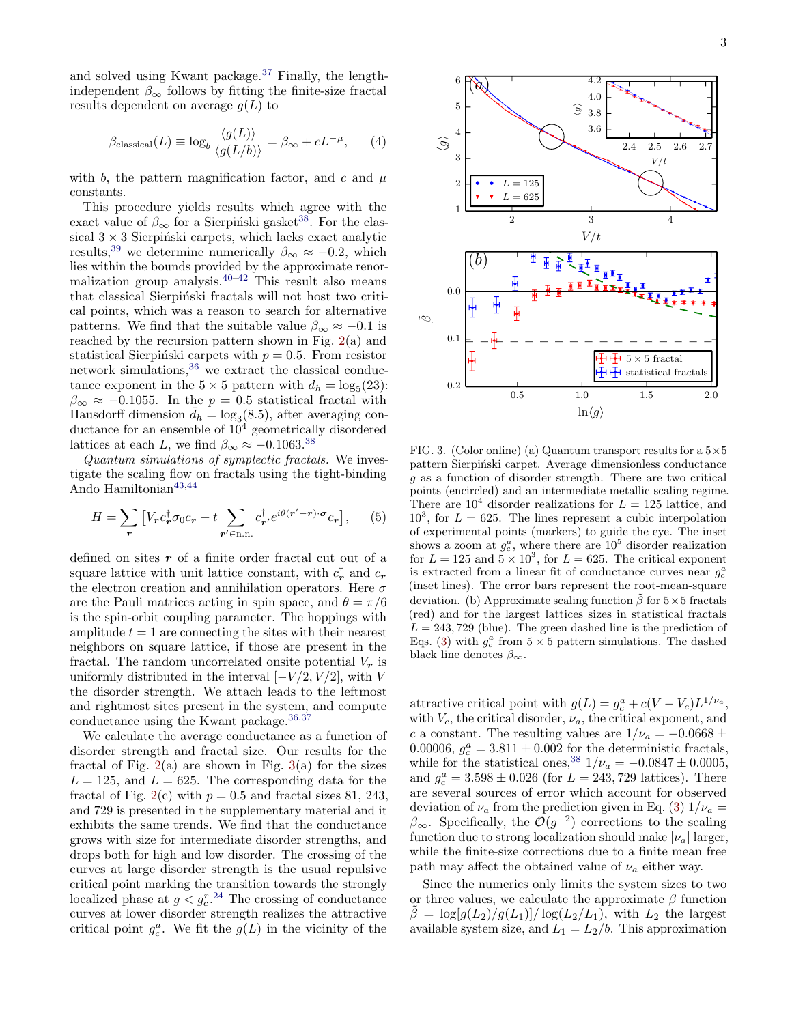and solved using Kwant package.[37](#page-6-20) Finally, the lengthindependent  $\beta_{\infty}$  follows by fitting the finite-size fractal results dependent on average  $g(L)$  to

$$
\beta_{\text{classical}}(L) \equiv \log_b \frac{\langle g(L) \rangle}{\langle g(L/b) \rangle} = \beta_{\infty} + cL^{-\mu}, \qquad (4)
$$

with b, the pattern magnification factor, and c and  $\mu$ constants.

This procedure yields results which agree with the exact value of  $\beta_{\infty}$  for a Sierpinski gasket<sup>[38](#page-6-21)</sup>. For the classical  $3 \times 3$  Sierpiński carpets, which lacks exact analytic results,<sup>[39](#page-6-22)</sup> we determine numerically  $\beta_{\infty} \approx -0.2$ , which lies within the bounds provided by the approximate renormalization group analysis. $40-42$  $40-42$  This result also means that classical Sierpiński fractals will not host two critical points, which was a reason to search for alternative patterns. We find that the suitable value  $\beta_{\infty} \approx -0.1$  is reached by the recursion pattern shown in Fig.  $2(a)$  $2(a)$  and statistical Sierpiński carpets with  $p = 0.5$ . From resistor network simulations,[36](#page-6-19) we extract the classical conductance exponent in the  $5 \times 5$  pattern with  $d_h = \log_5(23)$ :  $\beta_{\infty} \approx -0.1055$ . In the  $p = 0.5$  statistical fractal with Hausdorff dimension  $\bar{d}_h = \log_3(8.5)$ , after averaging conductance for an ensemble of  $10<sup>4</sup>$  geometrically disordered lattices at each L, we find  $\beta_{\infty} \approx -0.1063$ .<sup>[38](#page-6-21)</sup>

Quantum simulations of symplectic fractals. We investigate the scaling flow on fractals using the tight-binding Ando Hamiltonian $^{43,44}$  $^{43,44}$  $^{43,44}$  $^{43,44}$ 

$$
H = \sum_{\mathbf{r}} \left[ V_{\mathbf{r}} c_{\mathbf{r}}^{\dagger} \sigma_0 c_{\mathbf{r}} - t \sum_{\mathbf{r'} \in \text{n.n.}} c_{\mathbf{r'}}^{\dagger} e^{i\theta(\mathbf{r'} - \mathbf{r}) \cdot \boldsymbol{\sigma}} c_{\mathbf{r}} \right], \qquad (5)
$$

defined on sites  $r$  of a finite order fractal cut out of a square lattice with unit lattice constant, with  $c_r^{\dagger}$  and  $c_r$ the electron creation and annihilation operators. Here  $\sigma$ are the Pauli matrices acting in spin space, and  $\theta = \pi/6$ is the spin-orbit coupling parameter. The hoppings with amplitude  $t = 1$  are connecting the sites with their nearest neighbors on square lattice, if those are present in the fractal. The random uncorrelated onsite potential  $V_r$  is uniformly distributed in the interval  $[-V/2, V/2]$ , with V the disorder strength. We attach leads to the leftmost and rightmost sites present in the system, and compute conductance using the Kwant package.  $36,37$  $36,37$ 

We calculate the average conductance as a function of disorder strength and fractal size. Our results for the fractal of Fig.  $2(a)$  $2(a)$  are shown in Fig.  $3(a)$  $3(a)$  for the sizes  $L = 125$ , and  $L = 625$ . The corresponding data for the fractal of Fig. [2\(](#page-1-2)c) with  $p = 0.5$  and fractal sizes 81, 243, and 729 is presented in the supplementary material and it exhibits the same trends. We find that the conductance grows with size for intermediate disorder strengths, and drops both for high and low disorder. The crossing of the curves at large disorder strength is the usual repulsive critical point marking the transition towards the strongly localized phase at  $g < g_c^{r}$ .<sup>[24](#page-6-7)</sup> The crossing of conductance curves at lower disorder strength realizes the attractive critical point  $g_c^a$ . We fit the  $g(L)$  in the vicinity of the



<span id="page-2-0"></span>FIG. 3. (Color online) (a) Quantum transport results for a  $5\times 5$ pattern Sierpiński carpet. Average dimensionless conductance g as a function of disorder strength. There are two critical points (encircled) and an intermediate metallic scaling regime. There are  $10^4$  disorder realizations for  $L = 125$  lattice, and  $10<sup>3</sup>$ , for  $L = 625$ . The lines represent a cubic interpolation of experimental points (markers) to guide the eye. The inset shows a zoom at  $g_c^a$ , where there are  $10^5$  disorder realization for  $L = 125$  and  $5 \times 10^3$ , for  $L = 625$ . The critical exponent is extracted from a linear fit of conductance curves near  $g_c^a$ (inset lines). The error bars represent the root-mean-square deviation. (b) Approximate scaling function  $\tilde{\beta}$  for  $5\times 5$  fractals (red) and for the largest lattices sizes in statistical fractals  $L = 243, 729$  (blue). The green dashed line is the prediction of Eqs. [\(3\)](#page-1-1) with  $g_c^a$  from  $5 \times 5$  pattern simulations. The dashed black line denotes  $\beta_{\infty}$ .

attractive critical point with  $g(L) = g_c^a + c(V - V_c)L^{1/\nu_a}$ , with  $V_c$ , the critical disorder,  $\nu_a$ , the critical exponent, and c a constant. The resulting values are  $1/\nu_a = -0.0668 \pm$ 0.00006,  $g_c^a = 3.811 \pm 0.002$  for the deterministic fractals, while for the statistical ones,<sup>[38](#page-6-21)</sup>  $1/\nu_a = -0.0847 \pm 0.0005$ , and  $g_c^a = 3.598 \pm 0.026$  (for  $L = 243,729$  lattices). There are several sources of error which account for observed deviation of  $\nu_a$  from the prediction given in Eq. [\(3\)](#page-1-1)  $1/\nu_a =$  $\beta_{\infty}$ . Specifically, the  $\mathcal{O}(g^{-2})$  corrections to the scaling function due to strong localization should make  $|\nu_a|$  larger, while the finite-size corrections due to a finite mean free path may affect the obtained value of  $\nu_a$  either way.

Since the numerics only limits the system sizes to two or three values, we calculate the approximate  $\beta$  function  $\beta = \log[g(L_2)/g(L_1)]/\log(L_2/L_1)$ , with  $L_2$  the largest available system size, and  $L_1 = L_2/b$ . This approximation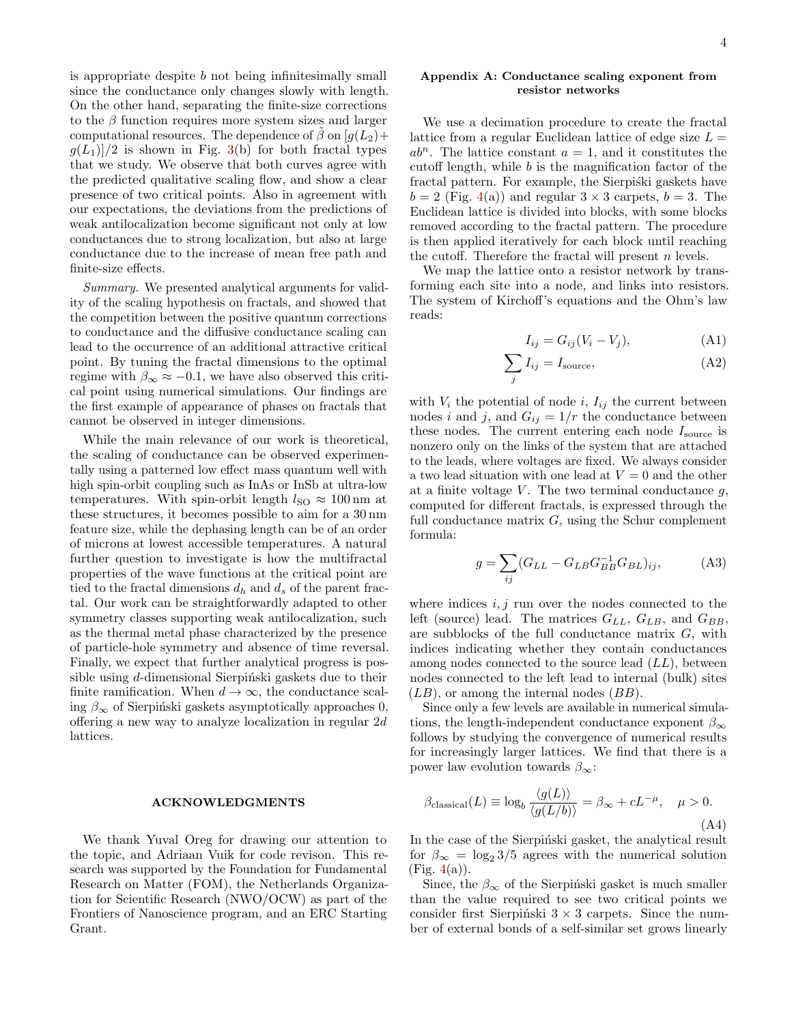is appropriate despite  $b$  not being infinitesimally small since the conductance only changes slowly with length. On the other hand, separating the finite-size corrections to the  $\beta$  function requires more system sizes and larger computational resources. The dependence of  $\beta$  on  $[g(L_2)+$  $g(L_1)/2$  is shown in Fig. [3\(](#page-2-0)b) for both fractal types that we study. We observe that both curves agree with the predicted qualitative scaling flow, and show a clear presence of two critical points. Also in agreement with our expectations, the deviations from the predictions of weak antilocalization become significant not only at low conductances due to strong localization, but also at large conductance due to the increase of mean free path and finite-size effects.

Summary. We presented analytical arguments for validity of the scaling hypothesis on fractals, and showed that the competition between the positive quantum corrections to conductance and the diffusive conductance scaling can lead to the occurrence of an additional attractive critical point. By tuning the fractal dimensions to the optimal regime with  $\beta_{\infty} \approx -0.1$ , we have also observed this critical point using numerical simulations. Our findings are the first example of appearance of phases on fractals that cannot be observed in integer dimensions.

While the main relevance of our work is theoretical, the scaling of conductance can be observed experimentally using a patterned low effect mass quantum well with high spin-orbit coupling such as InAs or InSb at ultra-low temperatures. With spin-orbit length  $l_{\rm SO} \approx 100 \text{ nm}$  at these structures, it becomes possible to aim for a 30 nm feature size, while the dephasing length can be of an order of microns at lowest accessible temperatures. A natural further question to investigate is how the multifractal properties of the wave functions at the critical point are tied to the fractal dimensions  $d_h$  and  $d_s$  of the parent fractal. Our work can be straightforwardly adapted to other symmetry classes supporting weak antilocalization, such as the thermal metal phase characterized by the presence of particle-hole symmetry and absence of time reversal. Finally, we expect that further analytical progress is possible using  $d$ -dimensional Sierpinski gaskets due to their finite ramification. When  $d \to \infty$ , the conductance scaling  $\beta_{\infty}$  of Sierpiński gaskets asymptotically approaches 0, offering a new way to analyze localization in regular 2d lattices.

## ACKNOWLEDGMENTS

We thank Yuval Oreg for drawing our attention to the topic, and Adriaan Vuik for code revison. This research was supported by the Foundation for Fundamental Research on Matter (FOM), the Netherlands Organization for Scientific Research (NWO/OCW) as part of the Frontiers of Nanoscience program, and an ERC Starting Grant.

## Appendix A: Conductance scaling exponent from resistor networks

We use a decimation procedure to create the fractal lattice from a regular Euclidean lattice of edge size  $L =$  $ab<sup>n</sup>$ . The lattice constant  $a = 1$ , and it constitutes the cutoff length, while  $b$  is the magnification factor of the fractal pattern. For example, the Sierpiski gaskets have  $b = 2$  (Fig. [4\(](#page-4-0)a)) and regular  $3 \times 3$  carpets,  $b = 3$ . The Euclidean lattice is divided into blocks, with some blocks removed according to the fractal pattern. The procedure is then applied iteratively for each block until reaching the cutoff. Therefore the fractal will present  $n$  levels.

We map the lattice onto a resistor network by transforming each site into a node, and links into resistors. The system of Kirchoff's equations and the Ohm's law reads:

$$
I_{ij} = G_{ij}(V_i - V_j), \tag{A1}
$$

$$
\sum_{j} I_{ij} = I_{\text{source}},\tag{A2}
$$

with  $V_i$  the potential of node i,  $I_{ij}$  the current between nodes i and j, and  $G_{ij} = 1/r$  the conductance between these nodes. The current entering each node  $I_{\text{source}}$  is nonzero only on the links of the system that are attached to the leads, where voltages are fixed. We always consider a two lead situation with one lead at  $V = 0$  and the other at a finite voltage  $V$ . The two terminal conductance  $g$ , computed for different fractals, is expressed through the full conductance matrix  $G$ , using the Schur complement formula:

$$
g = \sum_{ij} (G_{LL} - G_{LB} G_{BB}^{-1} G_{BL})_{ij},
$$
 (A3)

where indices  $i, j$  run over the nodes connected to the left (source) lead. The matrices  $G_{LL}, G_{LB},$  and  $G_{BB}$ , are subblocks of the full conductance matrix G, with indices indicating whether they contain conductances among nodes connected to the source lead  $(LL)$ , between nodes connected to the left lead to internal (bulk) sites  $(LB)$ , or among the internal nodes  $(BB)$ .

Since only a few levels are available in numerical simulations, the length-independent conductance exponent  $\beta_{\infty}$ follows by studying the convergence of numerical results for increasingly larger lattices. We find that there is a power law evolution towards  $\beta_{\infty}$ :

<span id="page-3-0"></span>
$$
\beta_{\text{classical}}(L) \equiv \log_b \frac{\langle g(L) \rangle}{\langle g(L/b) \rangle} = \beta_{\infty} + cL^{-\mu}, \quad \mu > 0.
$$
\n(A4)

In the case of the Sierpiński gasket, the analytical result for  $\beta_{\infty} = \log_2 3/5$  agrees with the numerical solution  $(Fig. 4(a)).$  $(Fig. 4(a)).$  $(Fig. 4(a)).$ 

Since, the  $\beta_{\infty}$  of the Sierpinski gasket is much smaller than the value required to see two critical points we consider first Sierpinski  $3 \times 3$  carpets. Since the number of external bonds of a self-similar set grows linearly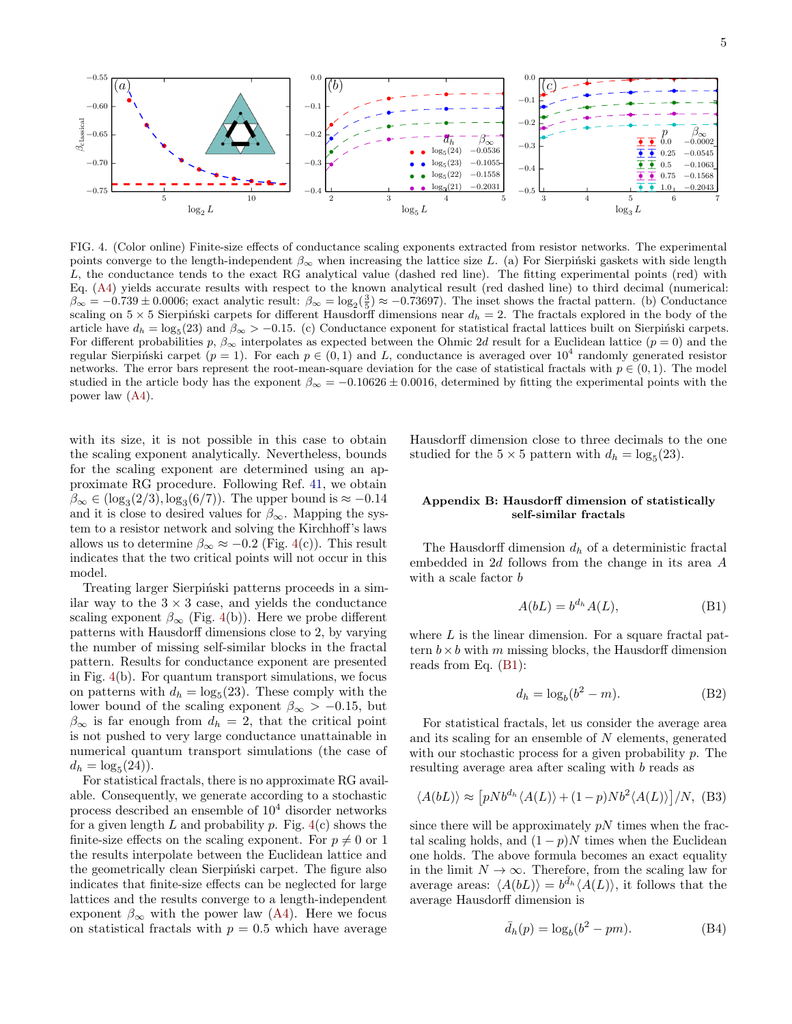

<span id="page-4-0"></span>FIG. 4. (Color online) Finite-size effects of conductance scaling exponents extracted from resistor networks. The experimental points converge to the length-independent  $\beta_{\infty}$  when increasing the lattice size L. (a) For Sierpiński gaskets with side length L, the conductance tends to the exact RG analytical value (dashed red line). The fitting experimental points (red) with Eq. [\(A4\)](#page-3-0) yields accurate results with respect to the known analytical result (red dashed line) to third decimal (numerical:  $\beta_{\infty} = -0.739 \pm 0.0006$ ; exact analytic result:  $\beta_{\infty} = \log_2(\frac{3}{5}) \approx -0.73697$ ). The inset shows the fractal pattern. (b) Conductance scaling on  $5 \times 5$  Sierpinski carpets for different Hausdorff dimensions near  $d_h = 2$ . The fractals explored in the body of the article have  $d_h = \log_5(23)$  and  $\beta_{\infty} > -0.15$ . (c) Conductance exponent for statistical fractal lattices built on Sierpiński carpets. For different probabilities p,  $\beta_{\infty}$  interpolates as expected between the Ohmic 2d result for a Euclidean lattice  $(p = 0)$  and the regular Sierpiński carpet  $(p = 1)$ . For each  $p \in (0, 1)$  and L, conductance is averaged over  $10^4$  randomly generated resistor networks. The error bars represent the root-mean-square deviation for the case of statistical fractals with  $p \in (0,1)$ . The model studied in the article body has the exponent  $\beta_{\infty} = -0.10626 \pm 0.0016$ , determined by fitting the experimental points with the power law [\(A4\)](#page-3-0).

with its size, it is not possible in this case to obtain the scaling exponent analytically. Nevertheless, bounds for the scaling exponent are determined using an approximate RG procedure. Following Ref. [41,](#page-6-27) we obtain  $\beta_{\infty} \in (\log_3(2/3), \log_3(6/7))$ . The upper bound is  $\approx -0.14$ and it is close to desired values for  $\beta_{\infty}$ . Mapping the system to a resistor network and solving the Kirchhoff's laws allows us to determine  $\beta_{\infty} \approx -0.2$  (Fig. [4\(](#page-4-0)c)). This result indicates that the two critical points will not occur in this model.

Treating larger Sierpiński patterns proceeds in a similar way to the  $3 \times 3$  case, and yields the conductance scaling exponent  $\beta_{\infty}$  (Fig. [4\(](#page-4-0)b)). Here we probe different patterns with Hausdorff dimensions close to 2, by varying the number of missing self-similar blocks in the fractal pattern. Results for conductance exponent are presented in Fig. [4\(](#page-4-0)b). For quantum transport simulations, we focus on patterns with  $d_h = \log_5(23)$ . These comply with the lower bound of the scaling exponent  $\beta_{\infty} > -0.15$ , but  $\beta_{\infty}$  is far enough from  $d_h = 2$ , that the critical point is not pushed to very large conductance unattainable in numerical quantum transport simulations (the case of  $d_h = \log_5(24)$ .

For statistical fractals, there is no approximate RG available. Consequently, we generate according to a stochastic process described an ensemble of  $10<sup>4</sup>$  disorder networks for a given length  $L$  and probability  $p$ . Fig.  $4(c)$  $4(c)$  shows the finite-size effects on the scaling exponent. For  $p \neq 0$  or 1 the results interpolate between the Euclidean lattice and the geometrically clean Sierpinski carpet. The figure also indicates that finite-size effects can be neglected for large lattices and the results converge to a length-independent exponent  $\beta_{\infty}$  with the power law [\(A4\)](#page-3-0). Here we focus on statistical fractals with  $p = 0.5$  which have average

Hausdorff dimension close to three decimals to the one studied for the  $5 \times 5$  pattern with  $d_h = \log_5(23)$ .

## Appendix B: Hausdorff dimension of statistically self-similar fractals

The Hausdorff dimension  $d_h$  of a deterministic fractal embedded in 2d follows from the change in its area A with a scale factor  $b$ 

<span id="page-4-1"></span>
$$
A(bL) = b^{d_h} A(L), \tag{B1}
$$

where  $L$  is the linear dimension. For a square fractal pattern  $b \times b$  with m missing blocks, the Hausdorff dimension reads from Eq. [\(B1\)](#page-4-1):

$$
d_h = \log_b(b^2 - m). \tag{B2}
$$

For statistical fractals, let us consider the average area and its scaling for an ensemble of N elements, generated with our stochastic process for a given probability p. The resulting average area after scaling with b reads as

$$
\langle A(bL) \rangle \approx \left[ pNb^{d_h} \langle A(L) \rangle + (1-p)Nb^2 \langle A(L) \rangle \right] / N, \text{ (B3)}
$$

since there will be approximately  $pN$  times when the fractal scaling holds, and  $(1 - p)N$  times when the Euclidean one holds. The above formula becomes an exact equality in the limit  $N \to \infty$ . Therefore, from the scaling law for average areas:  $\langle A(bL) \rangle = b^{\bar{d}_h} \langle A(L) \rangle$ , it follows that the average Hausdorff dimension is

$$
\bar{d}_h(p) = \log_b(b^2 - pm). \tag{B4}
$$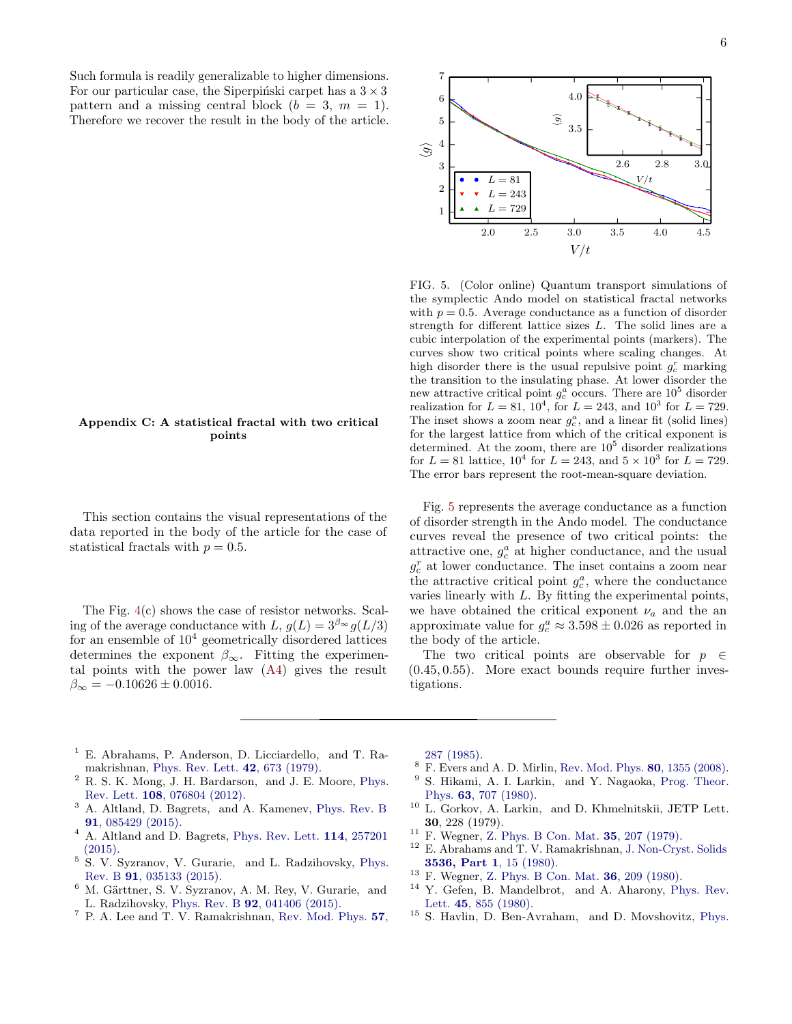6

Such formula is readily generalizable to higher dimensions. For our particular case, the Siperpinski carpet has a  $3 \times 3$ pattern and a missing central block  $(b = 3, m = 1)$ . Therefore we recover the result in the body of the article.



This section contains the visual representations of the data reported in the body of the article for the case of statistical fractals with  $p = 0.5$ .

The Fig. [4\(](#page-4-0)c) shows the case of resistor networks. Scaling of the average conductance with L,  $g(L) = 3^{\beta_{\infty}} g(L/3)$ for an ensemble of  $10<sup>4</sup>$  geometrically disordered lattices determines the exponent  $\beta_{\infty}$ . Fitting the experimental points with the power law [\(A4\)](#page-3-0) gives the result  $\beta_{\infty} = -0.10626 \pm 0.0016.$ 



<span id="page-5-12"></span>FIG. 5. (Color online) Quantum transport simulations of the symplectic Ando model on statistical fractal networks with  $p = 0.5$ . Average conductance as a function of disorder strength for different lattice sizes L. The solid lines are a cubic interpolation of the experimental points (markers). The curves show two critical points where scaling changes. At high disorder there is the usual repulsive point  $g_c^r$  marking the transition to the insulating phase. At lower disorder the new attractive critical point  $g_c^a$  occurs. There are  $10^5$  disorder realization for  $L = 81, 10^4,$  for  $L = 243,$  and  $10^3$  for  $L = 729$ . The inset shows a zoom near  $g_c^a$ , and a linear fit (solid lines) for the largest lattice from which of the critical exponent is determined. At the zoom, there are  $10<sup>5</sup>$  disorder realizations for  $L = 81$  lattice,  $10^4$  for  $L = 243$ , and  $5 \times 10^3$  for  $L = 729$ . The error bars represent the root-mean-square deviation.

Fig. [5](#page-5-12) represents the average conductance as a function of disorder strength in the Ando model. The conductance curves reveal the presence of two critical points: the attractive one,  $g_c^a$  at higher conductance, and the usual  $g_c^r$  at lower conductance. The inset contains a zoom near the attractive critical point  $g_c^a$ , where the conductance varies linearly with L. By fitting the experimental points, we have obtained the critical exponent  $\nu_a$  and the an approximate value for  $g_c^a \approx 3.598 \pm 0.026$  as reported in the body of the article.

The two critical points are observable for  $p \in$  $(0.45, 0.55)$ . More exact bounds require further investigations.

- <span id="page-5-0"></span><sup>1</sup> E. Abrahams, P. Anderson, D. Licciardello, and T. Ramakrishnan, [Phys. Rev. Lett.](http://dx.doi.org/10.1103/PhysRevLett.42.673) 42, 673 (1979).
- <span id="page-5-1"></span><sup>2</sup> R. S. K. Mong, J. H. Bardarson, and J. E. Moore, [Phys.](http://dx.doi.org/10.1103/PhysRevLett.108.076804) Rev. Lett. 108[, 076804 \(2012\).](http://dx.doi.org/10.1103/PhysRevLett.108.076804)
- <span id="page-5-2"></span><sup>3</sup> A. Altland, D. Bagrets, and A. Kamenev, [Phys. Rev. B](http://dx.doi.org/10.1103/PhysRevB.91.085429) 91[, 085429 \(2015\).](http://dx.doi.org/10.1103/PhysRevB.91.085429)
- <span id="page-5-3"></span><sup>4</sup> A. Altland and D. Bagrets, [Phys. Rev. Lett.](http://dx.doi.org/10.1103/PhysRevLett.114.257201) 114, 257201 [\(2015\).](http://dx.doi.org/10.1103/PhysRevLett.114.257201)
- <sup>5</sup> S. V. Syzranov, V. Gurarie, and L. Radzihovsky, [Phys.](http://dx.doi.org/10.1103/PhysRevB.91.035133) Rev. B 91[, 035133 \(2015\).](http://dx.doi.org/10.1103/PhysRevB.91.035133)
- <span id="page-5-4"></span> $6$  M. Gärttner, S. V. Syzranov, A. M. Rey, V. Gurarie, and L. Radzihovsky, Phys. Rev. B 92[, 041406 \(2015\).](http://dx.doi.org/10.1103/PhysRevB.92.041406)
- <span id="page-5-5"></span><sup>7</sup> P. A. Lee and T. V. Ramakrishnan, [Rev. Mod. Phys.](http://dx.doi.org/10.1103/RevModPhys.57.287) 57,

[287 \(1985\).](http://dx.doi.org/10.1103/RevModPhys.57.287)

- <span id="page-5-6"></span><sup>8</sup> F. Evers and A. D. Mirlin, [Rev. Mod. Phys.](http://dx.doi.org/10.1103/RevModPhys.80.1355) **80**, 1355 (2008).
- <span id="page-5-7"></span>S. Hikami, A. I. Larkin, and Y. Nagaoka, [Prog. Theor.](http://dx.doi.org/10.1143/PTP.63.707) Phys. 63[, 707 \(1980\).](http://dx.doi.org/10.1143/PTP.63.707)
- <span id="page-5-8"></span><sup>10</sup> L. Gorkov, A. Larkin, and D. Khmelnitskii, JETP Lett. 30, 228 (1979).
- <sup>11</sup> F. Wegner, [Z. Phys. B Con. Mat.](http://dx.doi.org/10.1007/BF01319839) **35**, 207 (1979).<br><sup>12</sup> E. Abrahams and T. V. Bamakrishnan, J. Non Crys
- <sup>12</sup> E. Abrahams and T. V. Ramakrishnan, [J. Non-Cryst. Solids](http://dx.doi.org/10.1016/0022-3093(80)90566-9) [3536, Part 1](http://dx.doi.org/10.1016/0022-3093(80)90566-9), 15 (1980).
- <span id="page-5-9"></span><sup>13</sup> F. Wegner, [Z. Phys. B Con. Mat.](http://dx.doi.org/10.1007/BF01325284) **36**, 209 (1980).
- <span id="page-5-10"></span><sup>14</sup> Y. Gefen, B. Mandelbrot, and A. Aharony, [Phys. Rev.](http://dx.doi.org/10.1103/PhysRevLett.45.855) Lett. 45[, 855 \(1980\).](http://dx.doi.org/10.1103/PhysRevLett.45.855)
- <span id="page-5-11"></span><sup>15</sup> S. Havlin, D. Ben-Avraham, and D. Movshovitz, [Phys.](http://dx.doi.org/10.1103/PhysRevLett.51.2347)